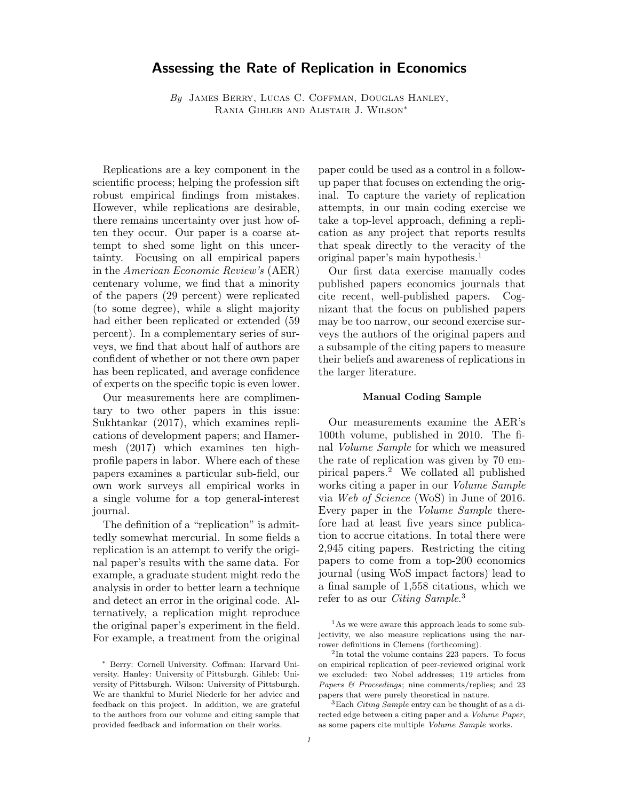# Assessing the Rate of Replication in Economics

 $By$  JAMES BERRY, LUCAS C. COFFMAN, DOUGLAS HANLEY, Rania Gihleb and Alistair J. Wilson∗

Replications are a key component in the scientific process; helping the profession sift robust empirical findings from mistakes. However, while replications are desirable, there remains uncertainty over just how often they occur. Our paper is a coarse attempt to shed some light on this uncertainty. Focusing on all empirical papers in the American Economic Review's (AER) centenary volume, we find that a minority of the papers (29 percent) were replicated (to some degree), while a slight majority had either been replicated or extended (59 percent). In a complementary series of surveys, we find that about half of authors are confident of whether or not there own paper has been replicated, and average confidence of experts on the specific topic is even lower.

Our measurements here are complimentary to two other papers in this issue: Sukhtankar (2017), which examines replications of development papers; and Hamermesh (2017) which examines ten highprofile papers in labor. Where each of these papers examines a particular sub-field, our own work surveys all empirical works in a single volume for a top general-interest journal.

The definition of a "replication" is admittedly somewhat mercurial. In some fields a replication is an attempt to verify the original paper's results with the same data. For example, a graduate student might redo the analysis in order to better learn a technique and detect an error in the original code. Alternatively, a replication might reproduce the original paper's experiment in the field. For example, a treatment from the original paper could be used as a control in a followup paper that focuses on extending the original. To capture the variety of replication attempts, in our main coding exercise we take a top-level approach, defining a replication as any project that reports results that speak directly to the veracity of the original paper's main hypothesis.<sup>1</sup>

Our first data exercise manually codes published papers economics journals that cite recent, well-published papers. Cognizant that the focus on published papers may be too narrow, our second exercise surveys the authors of the original papers and a subsample of the citing papers to measure their beliefs and awareness of replications in the larger literature.

## Manual Coding Sample

Our measurements examine the AER's 100th volume, published in 2010. The final Volume Sample for which we measured the rate of replication was given by 70 empirical papers.<sup>2</sup> We collated all published works citing a paper in our Volume Sample via Web of Science (WoS) in June of 2016. Every paper in the Volume Sample therefore had at least five years since publication to accrue citations. In total there were 2,945 citing papers. Restricting the citing papers to come from a top-200 economics journal (using WoS impact factors) lead to a final sample of 1,558 citations, which we refer to as our *Citing Sample*.<sup>3</sup>

<sup>∗</sup> Berry: Cornell University. Coffman: Harvard University. Hanley: University of Pittsburgh. Gihleb: University of Pittsburgh. Wilson: University of Pittsburgh. We are thankful to Muriel Niederle for her advice and feedback on this project. In addition, we are grateful to the authors from our volume and citing sample that provided feedback and information on their works.

<sup>&</sup>lt;sup>1</sup>As we were aware this approach leads to some subjectivity, we also measure replications using the narrower definitions in Clemens (forthcoming).

<sup>2</sup> In total the volume contains 223 papers. To focus on empirical replication of peer-reviewed original work we excluded: two Nobel addresses; 119 articles from Papers & Proceedings; nine comments/replies; and 23 papers that were purely theoretical in nature.

 ${}^{3}$ Each Citing Sample entry can be thought of as a directed edge between a citing paper and a Volume Paper, as some papers cite multiple Volume Sample works.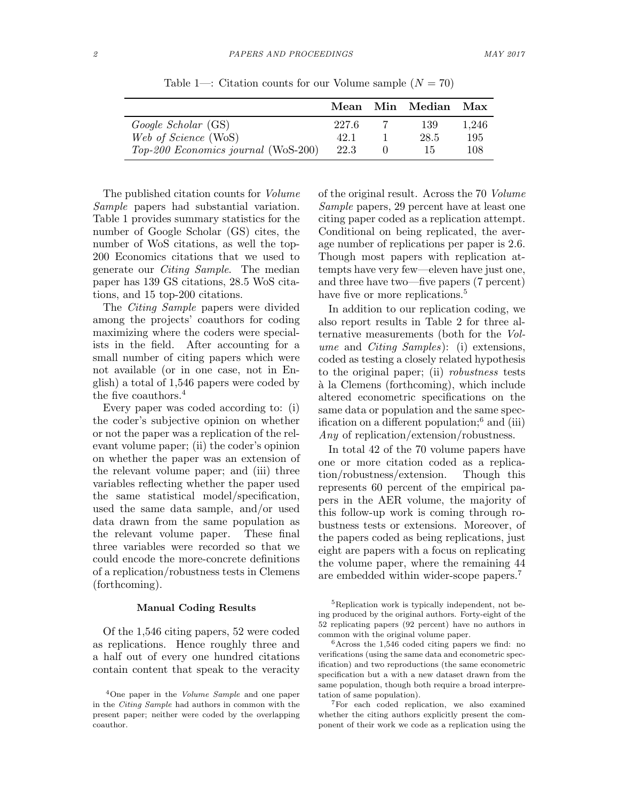|                                     |       | Mean Min Median Max |       |
|-------------------------------------|-------|---------------------|-------|
| Google Scholar (GS)                 | 227.6 | 139                 | 1.246 |
| Web of Science (WoS)                | 42.1  | 28.5                | 195   |
| Top-200 Economics journal (WoS-200) | 22.3  | 15                  | 108   |

Table 1—: Citation counts for our Volume sample  $(N = 70)$ 

The published citation counts for Volume Sample papers had substantial variation. Table 1 provides summary statistics for the number of Google Scholar (GS) cites, the number of WoS citations, as well the top-200 Economics citations that we used to generate our Citing Sample. The median paper has 139 GS citations, 28.5 WoS citations, and 15 top-200 citations.

The Citing Sample papers were divided among the projects' coauthors for coding maximizing where the coders were specialists in the field. After accounting for a small number of citing papers which were not available (or in one case, not in English) a total of 1,546 papers were coded by the five coauthors.<sup>4</sup>

Every paper was coded according to: (i) the coder's subjective opinion on whether or not the paper was a replication of the relevant volume paper; (ii) the coder's opinion on whether the paper was an extension of the relevant volume paper; and (iii) three variables reflecting whether the paper used the same statistical model/specification, used the same data sample, and/or used data drawn from the same population as the relevant volume paper. These final three variables were recorded so that we could encode the more-concrete definitions of a replication/robustness tests in Clemens (forthcoming).

#### Manual Coding Results

Of the 1,546 citing papers, 52 were coded as replications. Hence roughly three and a half out of every one hundred citations contain content that speak to the veracity

of the original result. Across the 70 Volume Sample papers, 29 percent have at least one citing paper coded as a replication attempt. Conditional on being replicated, the average number of replications per paper is 2.6. Though most papers with replication attempts have very few—eleven have just one, and three have two—five papers (7 percent) have five or more replications.<sup>5</sup>

In addition to our replication coding, we also report results in Table 2 for three alternative measurements (both for the Volume and Citing Samples): (i) extensions, coded as testing a closely related hypothesis to the original paper; (ii) robustness tests `a la Clemens (forthcoming), which include altered econometric specifications on the same data or population and the same specification on a different population;<sup>6</sup> and (iii) Any of replication/extension/robustness.

In total 42 of the 70 volume papers have one or more citation coded as a replication/robustness/extension. Though this represents 60 percent of the empirical papers in the AER volume, the majority of this follow-up work is coming through robustness tests or extensions. Moreover, of the papers coded as being replications, just eight are papers with a focus on replicating the volume paper, where the remaining 44 are embedded within wider-scope papers.<sup>7</sup>

<sup>7</sup>For each coded replication, we also examined whether the citing authors explicitly present the component of their work we code as a replication using the

<sup>4</sup>One paper in the Volume Sample and one paper in the Citing Sample had authors in common with the present paper; neither were coded by the overlapping coauthor.

<sup>5</sup>Replication work is typically independent, not being produced by the original authors. Forty-eight of the 52 replicating papers (92 percent) have no authors in common with the original volume paper.

<sup>6</sup>Across the 1,546 coded citing papers we find: no verifications (using the same data and econometric specification) and two reproductions (the same econometric specification but a with a new dataset drawn from the same population, though both require a broad interpretation of same population).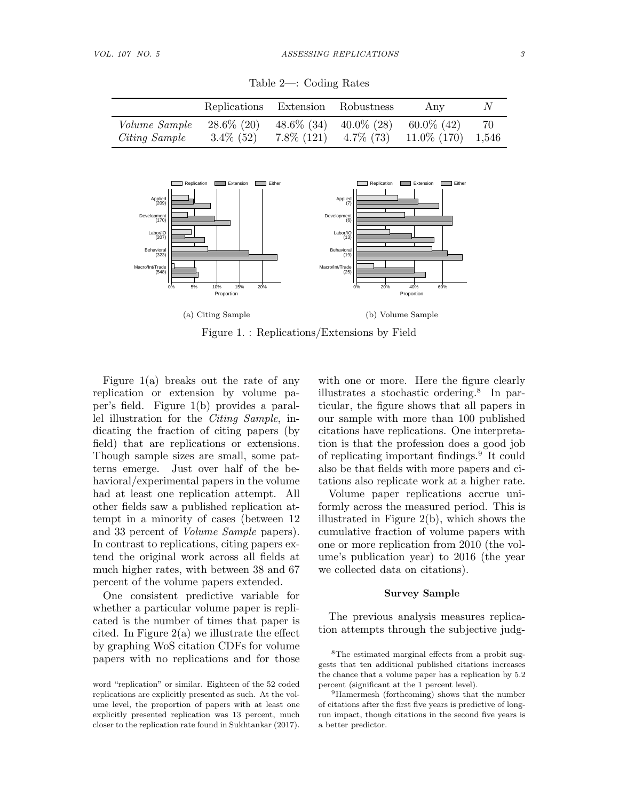|                                       | Replications Extension Robustness |                                |               | Any                                                  | IV |
|---------------------------------------|-----------------------------------|--------------------------------|---------------|------------------------------------------------------|----|
| <i>Volume Sample</i><br>Citing Sample | $28.6\%$ (20)<br>$3.4\%$ (52)     | $48.6\%$ (34)<br>$7.8\%$ (121) | $40.0\%$ (28) | $60.0\%$ (42)<br>$4.7\%$ (73) $11.0\%$ (170) $1,546$ | 70 |

Table 2—: Coding Rates



Figure 1. : Replications/Extensions by Field

Figure 1(a) breaks out the rate of any replication or extension by volume paper's field. Figure 1(b) provides a parallel illustration for the Citing Sample, indicating the fraction of citing papers (by field) that are replications or extensions. Though sample sizes are small, some patterns emerge. Just over half of the behavioral/experimental papers in the volume had at least one replication attempt. All other fields saw a published replication attempt in a minority of cases (between 12 and 33 percent of Volume Sample papers). In contrast to replications, citing papers extend the original work across all fields at much higher rates, with between 38 and 67 percent of the volume papers extended.

One consistent predictive variable for whether a particular volume paper is replicated is the number of times that paper is cited. In Figure  $2(a)$  we illustrate the effect by graphing WoS citation CDFs for volume papers with no replications and for those with one or more. Here the figure clearly illustrates a stochastic ordering.<sup>8</sup> In particular, the figure shows that all papers in our sample with more than 100 published citations have replications. One interpretation is that the profession does a good job of replicating important findings.<sup>9</sup> It could also be that fields with more papers and citations also replicate work at a higher rate.

Volume paper replications accrue uniformly across the measured period. This is illustrated in Figure 2(b), which shows the cumulative fraction of volume papers with one or more replication from 2010 (the volume's publication year) to 2016 (the year we collected data on citations).

# Survey Sample

The previous analysis measures replication attempts through the subjective judg-

word "replication" or similar. Eighteen of the 52 coded replications are explicitly presented as such. At the volume level, the proportion of papers with at least one explicitly presented replication was 13 percent, much closer to the replication rate found in Sukhtankar (2017).

<sup>8</sup>The estimated marginal effects from a probit suggests that ten additional published citations increases the chance that a volume paper has a replication by 5.2 percent (significant at the 1 percent level).

<sup>9</sup>Hamermesh (forthcoming) shows that the number of citations after the first five years is predictive of longrun impact, though citations in the second five years is a better predictor.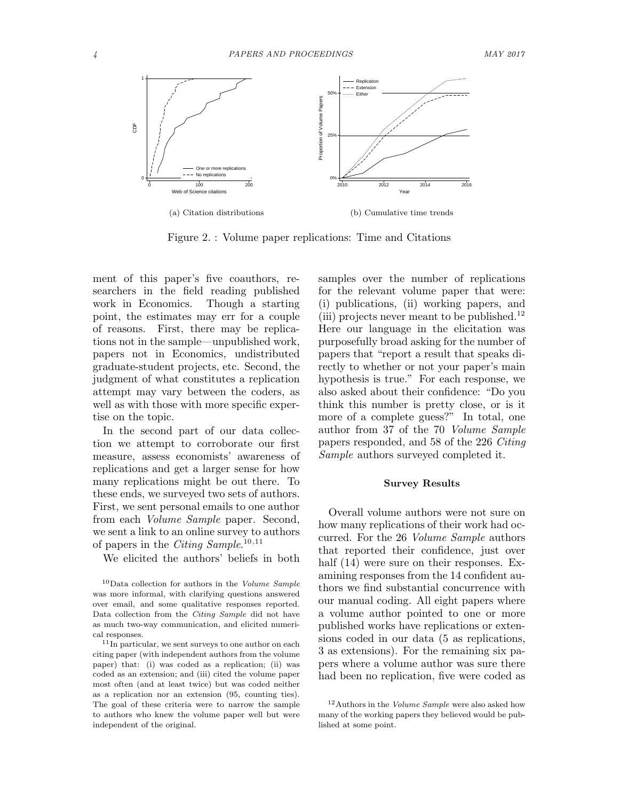

Figure 2. : Volume paper replications: Time and Citations

ment of this paper's five coauthors, researchers in the field reading published work in Economics. Though a starting point, the estimates may err for a couple of reasons. First, there may be replications not in the sample—unpublished work, papers not in Economics, undistributed graduate-student projects, etc. Second, the judgment of what constitutes a replication attempt may vary between the coders, as well as with those with more specific expertise on the topic.

In the second part of our data collection we attempt to corroborate our first measure, assess economists' awareness of replications and get a larger sense for how many replications might be out there. To these ends, we surveyed two sets of authors. First, we sent personal emails to one author from each Volume Sample paper. Second, we sent a link to an online survey to authors of papers in the *Citing Sample*.<sup>10,11</sup>

We elicited the authors' beliefs in both

samples over the number of replications for the relevant volume paper that were: (i) publications, (ii) working papers, and (iii) projects never meant to be published.<sup>12</sup> Here our language in the elicitation was purposefully broad asking for the number of papers that "report a result that speaks directly to whether or not your paper's main hypothesis is true." For each response, we also asked about their confidence: "Do you think this number is pretty close, or is it more of a complete guess?" In total, one author from 37 of the 70 Volume Sample papers responded, and 58 of the 226 Citing Sample authors surveyed completed it.

# Survey Results

Overall volume authors were not sure on how many replications of their work had occurred. For the 26 Volume Sample authors that reported their confidence, just over half  $(14)$  were sure on their responses. Examining responses from the 14 confident authors we find substantial concurrence with our manual coding. All eight papers where a volume author pointed to one or more published works have replications or extensions coded in our data (5 as replications, 3 as extensions). For the remaining six papers where a volume author was sure there had been no replication, five were coded as

 $^{10}\rm{Data}$  collection for authors in the Volume Sample was more informal, with clarifying questions answered over email, and some qualitative responses reported. Data collection from the Citing Sample did not have as much two-way communication, and elicited numerical responses.

<sup>&</sup>lt;sup>11</sup>In particular, we sent surveys to one author on each citing paper (with independent authors from the volume paper) that: (i) was coded as a replication; (ii) was coded as an extension; and (iii) cited the volume paper most often (and at least twice) but was coded neither as a replication nor an extension (95, counting ties). The goal of these criteria were to narrow the sample to authors who knew the volume paper well but were independent of the original.

 $12$ Authors in the *Volume Sample* were also asked how many of the working papers they believed would be published at some point.